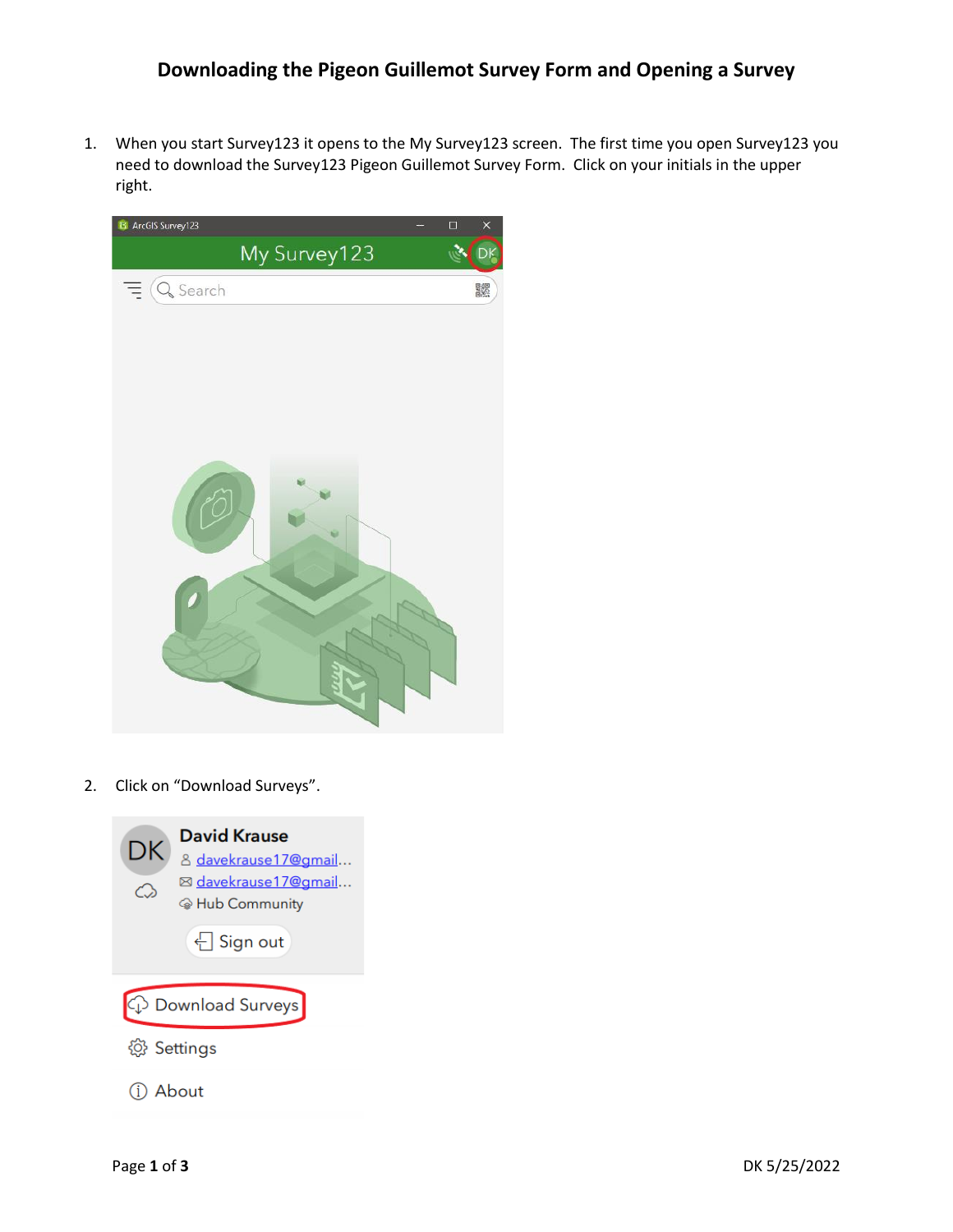## **Downloading the Pigeon Guillemot Survey Form and Opening a Survey**

1. When you start Survey123 it opens to the My Survey123 screen. The first time you open Survey123 you need to download the Survey123 Pigeon Guillemot Survey Form. Click on your initials in the upper right.



2. Click on "Download Surveys".

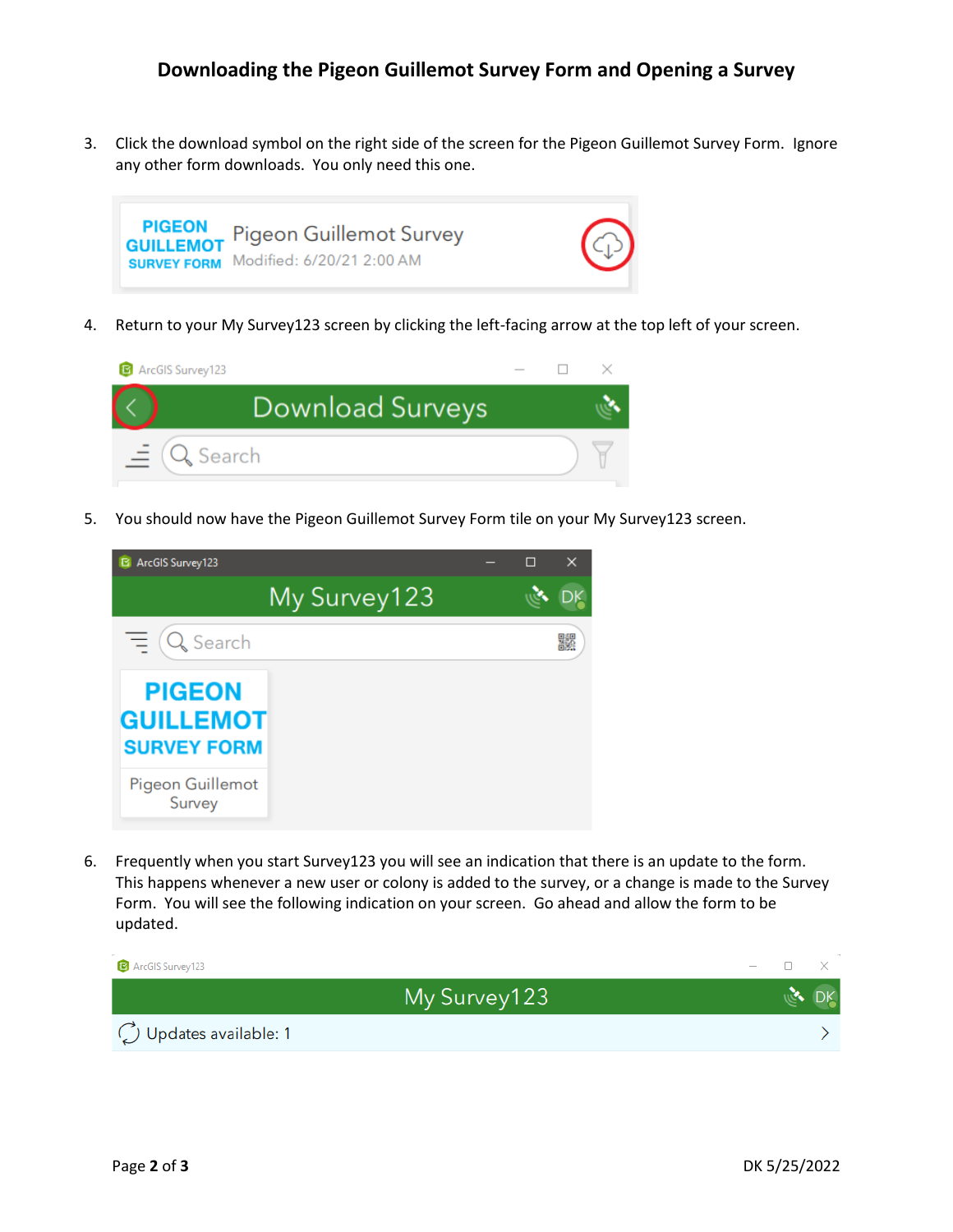## **Downloading the Pigeon Guillemot Survey Form and Opening a Survey**

3. Click the download symbol on the right side of the screen for the Pigeon Guillemot Survey Form. Ignore any other form downloads. You only need this one.



4. Return to your My Survey123 screen by clicking the left-facing arrow at the top left of your screen.



5. You should now have the Pigeon Guillemot Survey Form tile on your My Survey123 screen.



6. Frequently when you start Survey123 you will see an indication that there is an update to the form. This happens whenever a new user or colony is added to the survey, or a change is made to the Survey Form. You will see the following indication on your screen. Go ahead and allow the form to be updated.